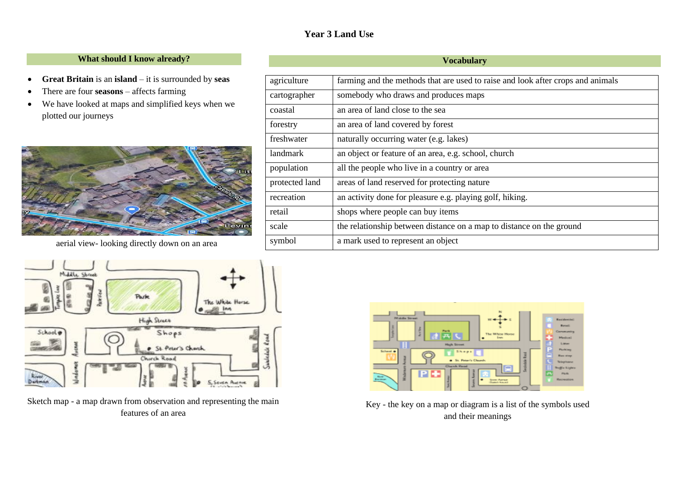## **Year 3 Land Use**

#### **What should I know already?**

- **Great Britain** is an **island** it is surrounded by **seas**
- There are four **seasons** affects farming
- We have looked at maps and simplified keys when we plotted our journeys







Sketch map - a map drawn from observation and representing the main features of an area



Key - the key on a map or diagram is a list of the symbols used and their meanings

#### **Vocabulary**